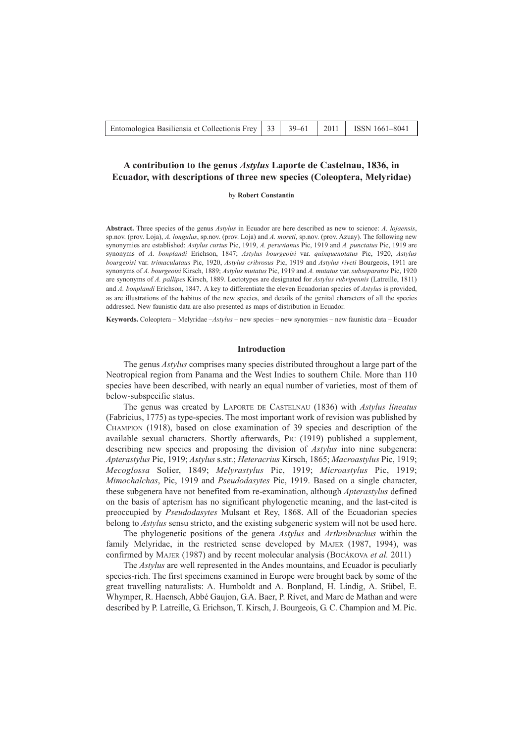## **A contribution to the genus** *Astylus* **Laporte de Castelnau, 1836, in Ecuador, with descriptions of three new species (Coleoptera, Melyridae)**

by **Robert Constantin**

**Abstract.** Three species of the genus *Astylus* in Ecuador are here described as new to science: *A. lojaensis*, sp.nov. (prov. Loja), *A. longulus*, sp.nov. (prov. Loja) and *A. moreti*, sp.nov. (prov. Azuay). The following new synonymies are established: *Astylus curtus* Pic, 1919, *A. peruvianus* Pic, 1919 and *A. punctatus* Pic, 1919 are synonyms of *A. bonplandi* Erichson, 1847; *Astylus bourgeoisi* var. *quinquenotatus* Pic, 1920, *Astylus bourgeoisi* var. *trimaculataus* Pic, 1920, *Astylus cribrosus* Pic, 1919 and *Astylus riveti* Bourgeois, 1911 are synonyms of *A. bourgeoisi* Kirsch, 1889; *Astylus mutatus* Pic, 1919 and *A. mutatus* var. *subseparatus* Pic, 1920 are synonyms of *A. pallipes* Kirsch, 1889. Lectotypes are designated for *Astylus rubripennis* (Latreille, 1811) and *A. bonplandi* Erichson, 1847. A key to differentiate the eleven Ecuadorian species of *Astylus* is provided, as are illustrations of the habitus of the new species, and details of the genital characters of all the species addressed. New faunistic data are also presented as maps of distribution in Ecuador.

**Keywords.** Coleoptera – Melyridae –*Astylus* – new species – new synonymies – new faunistic data – Ecuador

### **Introduction**

The genus *Astylus* comprises many species distributed throughout a large part of the Neotropical region from Panama and the West Indies to southern Chile. More than 110 species have been described, with nearly an equal number of varieties, most of them of below-subspecific status.

The genus was created by LAPORTE DE CASTELNAU (1836) with *Astylus lineatus* (Fabricius, 1775) as type-species. The most important work of revision was published by CHAMPION (1918), based on close examination of 39 species and description of the available sexual characters. Shortly afterwards, PIC (1919) published a supplement, describing new species and proposing the division of *Astylus* into nine subgenera: *Apterastylus* Pic, 1919; *Astylus* s.str.; *Heteracrius* Kirsch, 1865; *Macroastylus* Pic, 1919; *Mecoglossa* Solier, 1849; *Melyrastylus* Pic, 1919; *Microastylus* Pic, 1919; *Mimochalchas*, Pic, 1919 and *Pseudodasytes* Pic, 1919. Based on a single character, these subgenera have not benefited from re-examination, although *Apterastylus* defined on the basis of apterism has no significant phylogenetic meaning, and the last-cited is preoccupied by *Pseudodasytes* Mulsant et Rey, 1868. All of the Ecuadorian species belong to *Astylus* sensu stricto, and the existing subgeneric system will not be used here.

The phylogenetic positions of the genera *Astylus* and *Arthrobrachus* within the family Melyridae, in the restricted sense developed by MAJER (1987, 1994), was confirmed by MAJER (1987) and by recent molecular analysis (BOCÁKOVA *et al.* 2011)

The *Astylus* are well represented in the Andes mountains, and Ecuador is peculiarly species-rich. The first specimens examined in Europe were brought back by some of the great travelling naturalists: A. Humboldt and A. Bonpland, H. Lindig, A. Stübel, E. Whymper, R. Haensch, Abbé Gaujon, G.A. Baer, P. Rivet, and Marc de Mathan and were described by P. Latreille, G. Erichson, T. Kirsch, J. Bourgeois, G. C. Champion and M. Pic.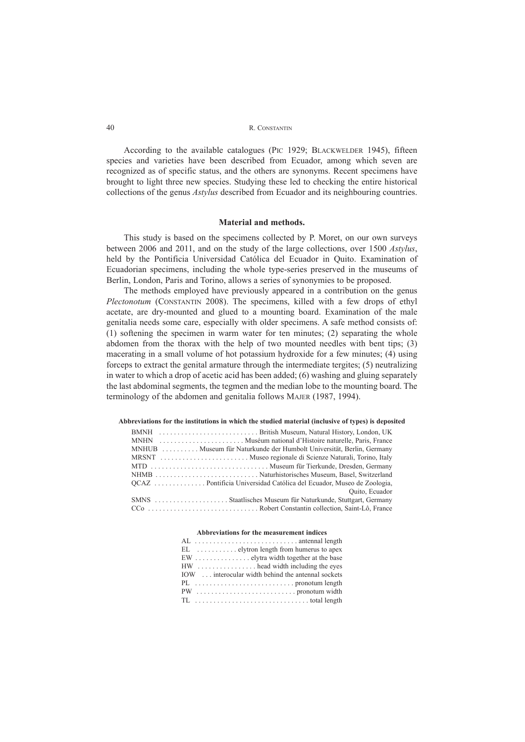According to the available catalogues (PIC 1929; BLACKWELDER 1945), fifteen species and varieties have been described from Ecuador, among which seven are recognized as of specific status, and the others are synonyms. Recent specimens have brought to light three new species. Studying these led to checking the entire historical collections of the genus *Astylus* described from Ecuador and its neighbouring countries.

### **Material and methods.**

This study is based on the specimens collected by P. Moret, on our own surveys between 2006 and 2011, and on the study of the large collections, over 1500 *Astylus*, held by the Pontificia Universidad Católica del Ecuador in Quito. Examination of Ecuadorian specimens, including the whole type-series preserved in the museums of Berlin, London, Paris and Torino, allows a series of synonymies to be proposed.

The methods employed have previously appeared in a contribution on the genus *Plectonotum* (CONSTANTIN 2008). The specimens, killed with a few drops of ethyl acetate, are dry-mounted and glued to a mounting board. Examination of the male genitalia needs some care, especially with older specimens. A safe method consists of: (1) softening the specimen in warm water for ten minutes; (2) separating the whole abdomen from the thorax with the help of two mounted needles with bent tips; (3) macerating in a small volume of hot potassium hydroxide for a few minutes; (4) using forceps to extract the genital armature through the intermediate tergites; (5) neutralizing in water to which a drop of acetic acid has been added; (6) washing and gluing separately the last abdominal segments, the tegmen and the median lobe to the mounting board. The terminology of the abdomen and genitalia follows MAJER (1987, 1994).

## **Abbreviations for the institutions in which the studied material (inclusive of types) is deposited**

| <b>BMNH</b> |                                                                       |
|-------------|-----------------------------------------------------------------------|
| MNHN        |                                                                       |
|             | MNHUB  Museum für Naturkunde der Humbolt Universität, Berlin, Germany |
|             |                                                                       |
|             |                                                                       |
|             |                                                                       |
|             |                                                                       |
|             | Quito, Ecuador                                                        |
|             | SMNS Staatlisches Museum für Naturkunde, Stuttgart, Germany           |
|             |                                                                       |

#### **Abbreviations for the measurement indices**

| $EL$ , $\ldots$ , $\ldots$ , elytron length from humerus to apex |
|------------------------------------------------------------------|
| $EW$ elvtra width together at the base                           |
| HW  head width including the eves                                |
| IOW  interocular width behind the antennal sockets               |
|                                                                  |
|                                                                  |
| TL total length                                                  |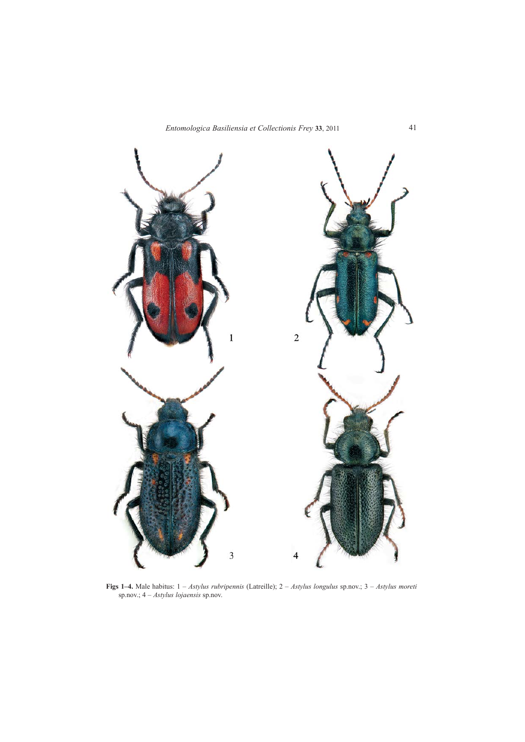

**Figs 1–4.** Male habitus: 1 – *Astylus rubripennis* (Latreille); 2 – *Astylus longulus* sp.nov.; 3 – *Astylus moreti* sp.nov.; 4 – *Astylus lojaensis* sp.nov.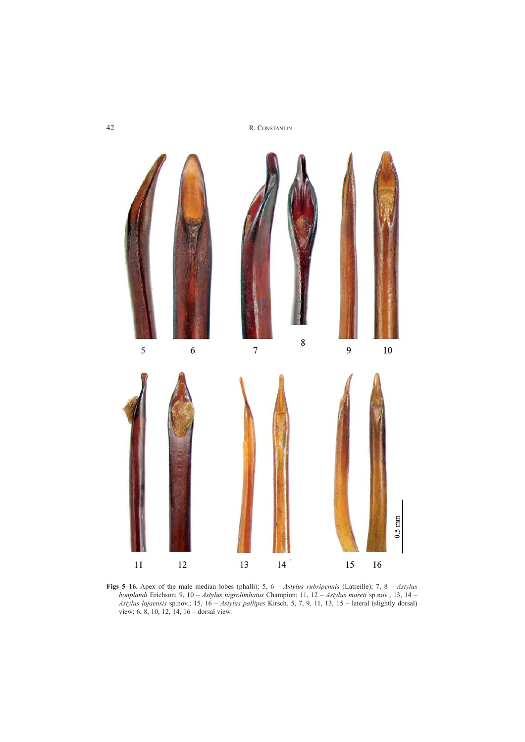

**Figs 5–16.** Apex of the male median lobes (phalli): 5, 6 – *Astylus rubripennis* (Latreille); 7, 8 – *Astylus bonplandi* Erichson; 9, 10 – *Astylus nigrolimbatus* Champion; 11, 12 – *Astylus moreti* sp.nov.; 13, 14 – *Astylus lojaensis* sp.nov.; 15, 16 – *Astylus pallipes* Kirsch. 5, 7, 9, 11, 13, 15 – lateral (slightly dorsal) view; 6, 8, 10, 12, 14, 16 – dorsal view.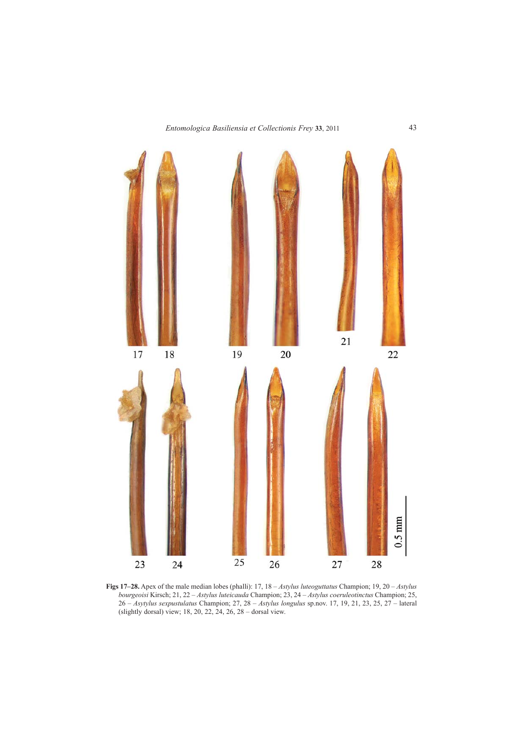

**Figs 17–28.** Apex of the male median lobes (phalli): 17, 18 – *Astylus luteoguttatus* Champion; 19, 20 – *Astylus bourgeoisi* Kirsch; 21, 22 – *Astylus luteicauda* Champion; 23, 24 – *Astylus coeruleotinctus* Champion; 25, 26 – *Asytylus sexpustulatus* Champion; 27, 28 – *Astylus longulus* sp.nov. 17, 19, 21, 23, 25, 27 – lateral (slightly dorsal) view; 18, 20, 22, 24, 26, 28 – dorsal view.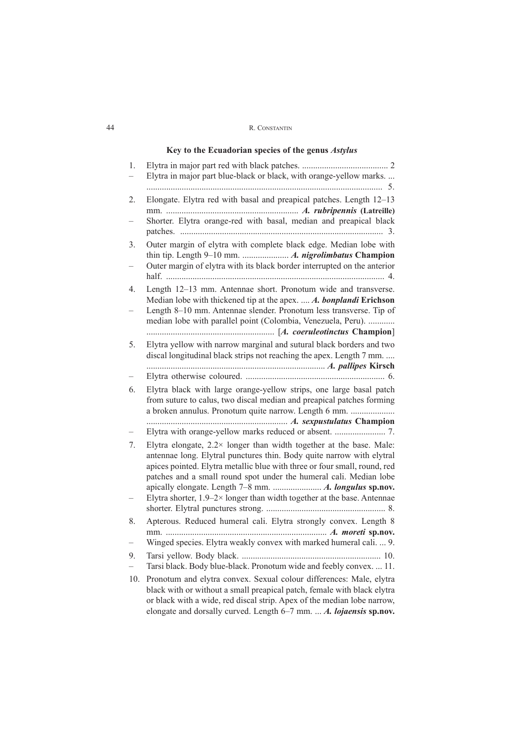# **Key to the Ecuadorian species of the genus** *Astylus*

| 1.  | Elytra in major part blue-black or black, with orange-yellow marks                                                                                                                                                                                                                                      |
|-----|---------------------------------------------------------------------------------------------------------------------------------------------------------------------------------------------------------------------------------------------------------------------------------------------------------|
| 2.  | 5.<br>Elongate. Elytra red with basal and preapical patches. Length 12-13                                                                                                                                                                                                                               |
|     | Shorter. Elytra orange-red with basal, median and preapical black                                                                                                                                                                                                                                       |
| 3.  | Outer margin of elytra with complete black edge. Median lobe with<br>Outer margin of elytra with its black border interrupted on the anterior                                                                                                                                                           |
| 4.  | Length 12-13 mm. Antennae short. Pronotum wide and transverse.<br>Median lobe with thickened tip at the apex.  A. bonplandi Erichson<br>Length 8-10 mm. Antennae slender. Pronotum less transverse. Tip of<br>median lobe with parallel point (Colombia, Venezuela, Peru).                              |
| 5.  | Elytra yellow with narrow marginal and sutural black borders and two<br>discal longitudinal black strips not reaching the apex. Length 7 mm.                                                                                                                                                            |
|     |                                                                                                                                                                                                                                                                                                         |
| 6.  | Elytra black with large orange-yellow strips, one large basal patch<br>from suture to calus, two discal median and preapical patches forming<br>a broken annulus. Pronotum quite narrow. Length 6 mm.                                                                                                   |
|     |                                                                                                                                                                                                                                                                                                         |
| 7.  | Elytra elongate, $2.2 \times$ longer than width together at the base. Male:<br>antennae long. Elytral punctures thin. Body quite narrow with elytral<br>apices pointed. Elytra metallic blue with three or four small, round, red<br>patches and a small round spot under the humeral cali. Median lobe |
|     | Elytra shorter, $1.9-2 \times$ longer than width together at the base. Antennae                                                                                                                                                                                                                         |
| 8.  | Apterous. Reduced humeral cali. Elytra strongly convex. Length 8                                                                                                                                                                                                                                        |
|     | Winged species. Elytra weakly convex with marked humeral cali.  9.                                                                                                                                                                                                                                      |
| 9.  | Tarsi black. Body blue-black. Pronotum wide and feebly convex.  11.                                                                                                                                                                                                                                     |
| 10. | Pronotum and elytra convex. Sexual colour differences: Male, elytra<br>black with or without a small preapical patch, female with black elytra<br>or black with a wide, red discal strip. Apex of the median lobe narrow,                                                                               |

elongate and dorsally curved. Length 6–7 mm. ... *A. lojaensis* **sp.nov.**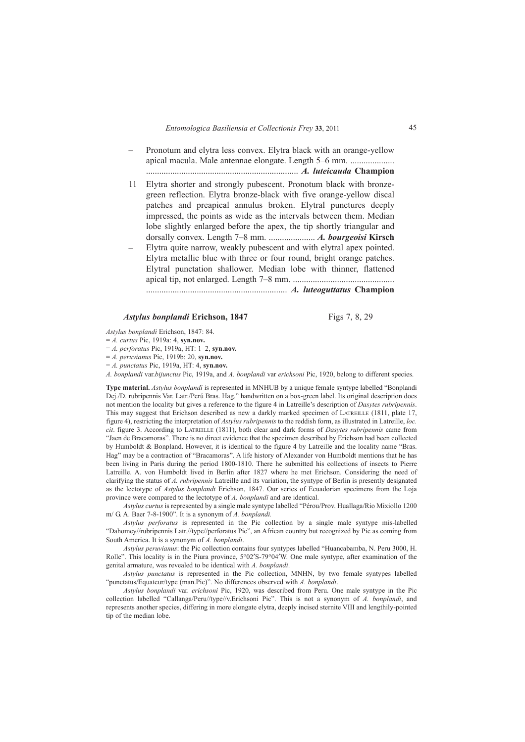- Pronotum and elytra less convex. Elytra black with an orange-yellow apical macula. Male antennae elongate. Length 5–6 mm. .................... ..................................................................... *A. luteicauda* **Champion**
- 11 Elytra shorter and strongly pubescent. Pronotum black with bronzegreen reflection. Elytra bronze-black with five orange-yellow discal patches and preapical annulus broken. Elytral punctures deeply impressed, the points as wide as the intervals between them. Median lobe slightly enlarged before the apex, the tip shortly triangular and dorsally convex. Length 7–8 mm. ..................... *A. bourgeoisi* **Kirsch** *–* Elytra quite narrow, weakly pubescent and with elytral apex pointed. Elytra metallic blue with three or four round, bright orange patches.
- Elytral punctation shallower. Median lobe with thinner, flattened apical tip, not enlarged. Length 7–8 mm. .............................................. ................................................................ *A. luteoguttatus* **Champion**

## *Astylus bonplandi* Erichson, 1847 Figs 7, 8, 29

*Astylus bonplandi* Erichson, 1847: 84.

= *A. curtus* Pic, 1919a: 4, **syn.nov.**

= *A. perforatus* Pic, 1919a, HT: 1–2, **syn.nov.**

= *A. peruvianus* Pic, 1919b: 20, **syn.nov.**

= *A. punctatus* Pic, 1919a, HT: 4, **syn.nov.**

*A. bonplandi* var.*bijunctus* Pic, 1919a, and *A. bonplandi* var *erichsoni* Pic, 1920, belong to different species.

**Type material.** *Astylus bonplandi* is represented in MNHUB by a unique female syntype labelled "Bonplandi Dej./D. rubripennis Var. Latr./Perú Bras. Hag." handwritten on a box-green label. Its original description does not mention the locality but gives a reference to the figure 4 in Latreille's description of *Dasytes rubripennis*. This may suggest that Erichson described as new a darkly marked specimen of LATREILLE (1811, plate 17, figure 4), restricting the interpretation of *Astylus rubripennis* to the reddish form, as illustrated in Latreille, *loc. cit*. figure 3. According to LATREILLE (1811), both clear and dark forms of *Dasytes rubripennis* came from "Jaen de Bracamoras". There is no direct evidence that the specimen described by Erichson had been collected by Humboldt & Bonpland. However, it is identical to the figure 4 by Latreille and the locality name "Bras. Hag" may be a contraction of "Bracamoras". A life history of Alexander von Humboldt mentions that he has been living in Paris during the period 1800-1810. There he submitted his collections of insects to Pierre Latreille. A. von Humboldt lived in Berlin after 1827 where he met Erichson. Considering the need of clarifying the status of *A. rubripennis* Latreille and its variation, the syntype of Berlin is presently designated as the lectotype of *Astylus bonplandi* Erichson, 1847. Our series of Ecuadorian specimens from the Loja province were compared to the lectotype of *A. bonplandi* and are identical.

*Astylus curtus* is represented by a single male syntype labelled "Pérou/Prov. Huallaga/Rio Mixiollo 1200 m/ G. A. Baer 7-8-1900". It is a synonym of *A. bonplandi.*

*Astylus perforatus* is represented in the Pic collection by a single male syntype mis-labelled "Dahomey//rubripennis Latr.//type//perforatus Pic", an African country but recognized by Pic as coming from South America. It is a synonym of *A. bonplandi*.

*Astylus peruvianus*: the Pic collection contains four syntypes labelled "Huancabamba, N. Peru 3000, H. Rolle". This locality is in the Piura province,  $5^{\circ}02^{\prime}S$ -79°04′W. One male syntype, after examination of the genital armature, was revealed to be identical with *A. bonplandi*.

*Astylus punctatus* is represented in the Pic collection, MNHN, by two female syntypes labelled "punctatus/Equateur/type (man.Pic)". No differences observed with *A. bonplandi*.

*Astylus bonplandi* var. *erichsoni* Pic, 1920, was described from Peru. One male syntype in the Pic collection labelled "Callanga/Peru//type//v.Erichsoni Pic". This is not a synonym of *A. bonplandi*, and represents another species, differing in more elongate elytra, deeply incised sternite VIII and lengthily-pointed tip of the median lobe.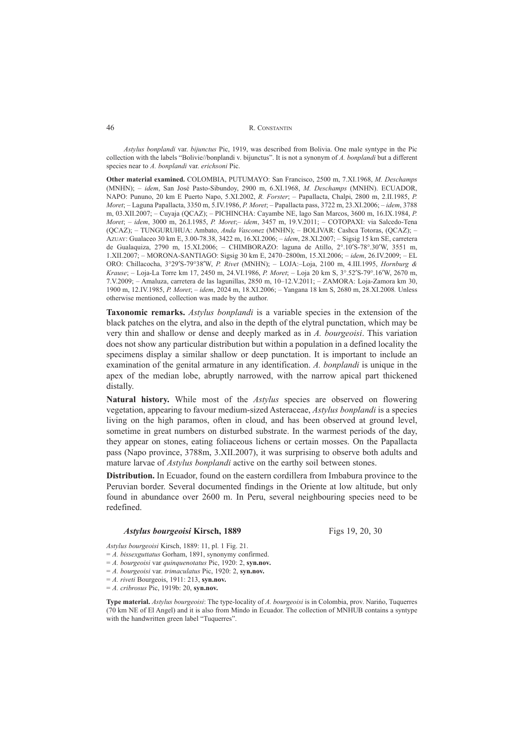*Astylus bonplandi* var. *bijunctus* Pic, 1919, was described from Bolivia. One male syntype in the Pic collection with the labels "Bolivie//bonplandi v. bijunctus". It is not a synonym of *A. bonplandi* but a different species near to *A. bonplandi* var. *erichsoni* Pic.

**Other material examined.** COLOMBIA, PUTUMAYO: San Francisco, 2500 m, 7.XI.1968, *M. Deschamps* (MNHN); – *idem*, San José Pasto-Sibundoy, 2900 m, 6.XI.1968, *M. Deschamps* (MNHN). ECUADOR, NAPO: Pununo, 20 km E Puerto Napo, 5.XI.2002, *R. Forster*; – Papallacta, Chalpi, 2800 m, 2.II.1985, *P. Moret*; – Laguna Papallacta, 3350 m, 5.IV.1986, *P. Moret*; – Papallacta pass, 3722 m, 23.XI.2006; – *idem*, 3788 m, 03.XII.2007; – Cuyaja (QCAZ); – PICHINCHA: Cayambe NE, lago San Marcos, 3600 m, 16.IX.1984, *P. Moret*; – *idem*, 3000 m, 26.I.1985, *P. Moret*;– *idem*, 3457 m, 19.V.2011; – COTOPAXI: via Salcedo-Tena (QCAZ); – TUNGURUHUA: Ambato, *Anda Vasconez* (MNHN); – BOLIVAR: Cashca Totoras, (QCAZ); – AZUAY: Gualaceo 30 km E, 3.00-78.38, 3422 m, 16.XI.2006; – *idem*, 28.XI.2007; *–* Sigsig 15 km SE, carretera de Gualaquiza, 2790 m, 15.XI.2006; – CHIMBORAZO: laguna de Atillo, 2°.10′S-78°.30′W, 3551 m, 1.XII.2007; – MORONA-SANTIAGO: Sigsig 30 km E, 2470–2800m, 15.XI.2006; – *idem*, 26.IV.2009; – EL ORO: Chillacocha, 3°29′S-79°38′W, *P. Rivet* (MNHN); – LOJA:–Loja, 2100 m, 4.III.1995, *Hornburg & Krause*; – Loja-La Torre km 17, 2450 m, 24.VI.1986, *P. Moret*; – Loja 20 km S, 3°.52′S-79°.16′W, 2670 m, 7.V.2009; – Amaluza, carretera de las lagunillas, 2850 m, 10–12.V.2011; – ZAMORA: Loja-Zamora km 30, 1900 m, 12.IV.1985, *P. Moret*; – *idem*, 2024 m, 18.XI.2006; *–* Yangana 18 km S, 2680 m, 28.XI.2008*.* Unless otherwise mentioned, collection was made by the author.

**Taxonomic remarks.** *Astylus bonplandi* is a variable species in the extension of the black patches on the elytra, and also in the depth of the elytral punctation, which may be very thin and shallow or dense and deeply marked as in *A. bourgeoisi*. This variation does not show any particular distribution but within a population in a defined locality the specimens display a similar shallow or deep punctation. It is important to include an examination of the genital armature in any identification. *A. bonplandi* is unique in the apex of the median lobe, abruptly narrowed, with the narrow apical part thickened distally.

**Natural history.** While most of the *Astylus* species are observed on flowering vegetation, appearing to favour medium-sized Asteraceae, *Astylus bonplandi* is a species living on the high paramos, often in cloud, and has been observed at ground level, sometime in great numbers on disturbed substrate. In the warmest periods of the day, they appear on stones, eating foliaceous lichens or certain mosses. On the Papallacta pass (Napo province, 3788m, 3.XII.2007), it was surprising to observe both adults and mature larvae of *Astylus bonplandi* active on the earthy soil between stones.

**Distribution.** In Ecuador, found on the eastern cordillera from Imbabura province to the Peruvian border. Several documented findings in the Oriente at low altitude, but only found in abundance over 2600 m. In Peru, several neighbouring species need to be redefined.

### *Astylus bourgeoisi* Kirsch, 1889 Figs 19, 20, 30

*Astylus bourgeoisi* Kirsch, 1889: 11, pl. 1 Fig. 21.

- = *A. bissexguttatus* Gorham, 1891, synonymy confirmed.
- = *A. bourgeoisi* var *quinquenotatus* Pic, 1920: 2, **syn.nov.**
- = *A. bourgeoisi* var. *trimaculatus* Pic, 1920: 2, **syn.nov.**
- = *A. riveti* Bourgeois, 1911: 213, **syn.nov.**

= *A. cribrosus* Pic, 1919b: 20, **syn.nov.**

**Type material.** *Astylus bourgeoisi*: The type-locality of *A. bourgeoisi* is in Colombia, prov. Nariño, Tuquerres (70 km NE of El Angel) and it is also from Mindo in Ecuador. The collection of MNHUB contains a syntype with the handwritten green label "Tuquerres".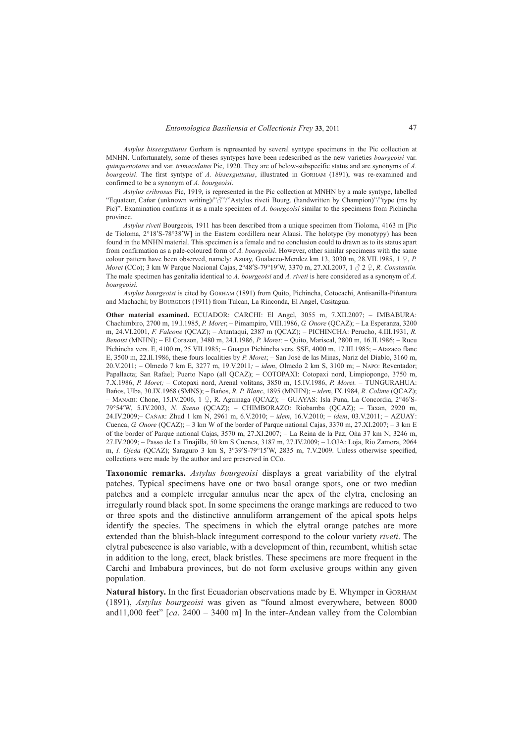*Astylus bissexguttatus* Gorham is represented by several syntype specimens in the Pic collection at MNHN. Unfortunately, some of theses syntypes have been redescribed as the new varieties *bourgeoisi* var. *quinquenotatus* and var. *trimaculatus* Pic, 1920. They are of below-subspecific status and are synonyms of *A. bourgeoisi*. The first syntype of *A. bissexguttatus*, illustrated in GORHAM (1891), was re-examined and confirmed to be a synonym of *A. bourgeoisi*.

*Astylus cribrosus* Pic, 1919, is represented in the Pic collection at MNHN by a male syntype, labelled "Equateur, Cañar (unknown writing)/"♂"/"Astylus riveti Bourg. (handwritten by Champion)"/"type (ms by Pic)". Examination confirms it as a male specimen of *A. bourgeoisi* similar to the specimens from Pichincha province.

*Astylus riveti* Bourgeois, 1911 has been described from a unique specimen from Tioloma, 4163 m [Pic de Tioloma, 2°18′S-78°38′W] in the Eastern cordillera near Alausi. The holotype (by monotypy) has been found in the MNHN material. This specimen is a female and no conclusion could to drawn as to its status apart from confirmation as a pale-coloured form of *A. bourgeoisi*. However, other similar specimens with the same colour pattern have been observed, namely: Azuay, Gualaceo-Mendez km 13, 3030 m, 28.VII.1985,  $1 \nsubseteq P$ . *Moret* (CCo); 3 km W Parque Nacional Cajas, 2°48′S-79°19′W, 3370 m, 27.XI.2007, 1 ♂ 2 ♀, *R. Constantin.* The male specimen has genitalia identical to *A. bourgeoisi* and *A. riveti* is here considered as a synonym of *A. bourgeoisi.*

*Astylus bourgeoisi* is cited by GORHAM (1891) from Quito, Pichincha, Cotocachi, Antisanilla-Piñantura and Machachi; by BOURGEOIS (1911) from Tulcan, La Rinconda, El Angel, Casitagua.

**Other material examined.** ECUADOR: CARCHI: El Angel, 3055 m, 7.XII.2007; – IMBABURA: Chachimbiro, 2700 m, 19.I.1985, *P. Moret*; – Pimampiro, VIII.1986, *G. Onore* (QCAZ); – La Esperanza, 3200 m, 24.VI.2001, *F. Falcone* (QCAZ); – Atuntaqui, 2387 m (QCAZ); – PICHINCHA: Perucho, 4.III.1931, *R. Benoist* (MNHN); – El Corazon, 3480 m, 24.I.1986, *P. Moret;* – Quito, Mariscal, 2800 m, 16.II.1986; – Rucu Pichincha vers. E, 4100 m, 25.VII.1985; – Guagua Pichincha vers. SSE, 4000 m, 17.III.1985; – Atazaco flanc E, 3500 m, 22.II.1986, these fours localities by *P. Moret*; – San José de las Minas, Nariz del Diablo, 3160 m, 20.V.2011; – Olmedo 7 km E, 3277 m, 19.V.2011*;* – *idem*, Olmedo 2 km S, 3100 m; – NAPO: Reventador; Papallacta; San Rafael; Puerto Napo (all QCAZ); – COTOPAXI: Cotopaxi nord, Limpiopongo, 3750 m, 7.X.1986, *P. Moret;* – Cotopaxi nord, Arenal volitans, 3850 m, 15.IV.1986, *P. Moret.* – TUNGURAHUA: Baños, Ulba, 30.IX.1968 (SMNS); – Baños, *R. P. Blanc*, 1895 (MNHN); – *idem*, IX.1984, *R. Colime* (QCAZ); – MANABI: Chone, 15.IV.2006, 1 ♀, R. Aguinaga (QCAZ); – GUAYAS: Isla Puna, La Concordia, 2°46′S-79°54′W, 5.IV.2003, *N. Saeno* (QCAZ); – CHIMBORAZO: Riobamba (QCAZ); – Taxan, 2920 m, 24.IV.2009;– CAÑAR: Zhud 1 km N, 2961 m, 6.V.2010; – *idem*, 16.V.2010; – *idem*, 03.V.2011; – AZUAY: Cuenca, *G. Onore* (QCAZ); – 3 km W of the border of Parque national Cajas, 3370 m, 27.XI.2007; – 3 km E of the border of Parque national Cajas, 3570 m, 27.XI.2007; – La Reina de la Paz, Oña 37 km N, 3246 m, 27.IV.2009; – Passo de La Tinajilla, 50 km S Cuenca, 3187 m, 27.IV.2009; – LOJA: Loja, Rio Zamora, 2064 m, *I. Ojeda* (QCAZ); Saraguro 3 km S, 3°39′S-79°15′W, 2835 m, 7.V.2009. Unless otherwise specified, collections were made by the author and are preserved in CCo.

**Taxonomic remarks.** *Astylus bourgeoisi* displays a great variability of the elytral patches. Typical specimens have one or two basal orange spots, one or two median patches and a complete irregular annulus near the apex of the elytra, enclosing an irregularly round black spot. In some specimens the orange markings are reduced to two or three spots and the distinctive annuliform arrangement of the apical spots helps identify the species. The specimens in which the elytral orange patches are more extended than the bluish-black integument correspond to the colour variety *riveti*. The elytral pubescence is also variable, with a development of thin, recumbent, whitish setae in addition to the long, erect, black bristles. These specimens are more frequent in the Carchi and Imbabura provinces, but do not form exclusive groups within any given population.

**Natural history.** In the first Ecuadorian observations made by E. Whymper in GORHAM (1891), *Astylus bourgeoisi* was given as "found almost everywhere, between 8000 and11,000 feet" [*ca*. 2400 – 3400 m] In the inter-Andean valley from the Colombian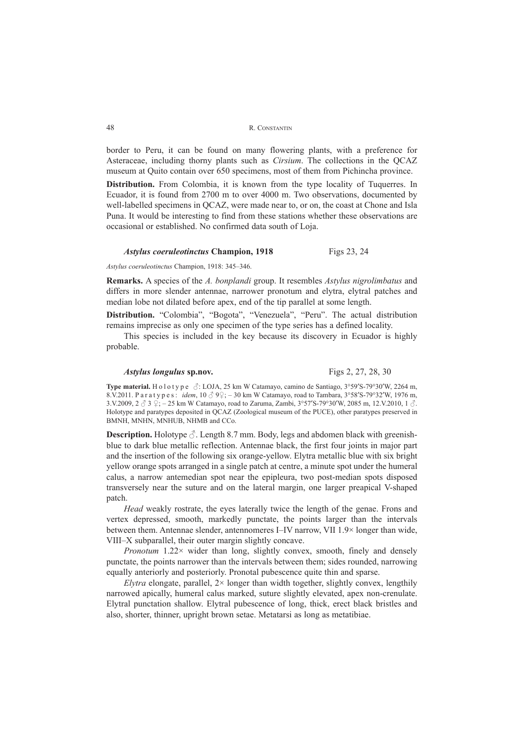border to Peru, it can be found on many flowering plants, with a preference for Asteraceae, including thorny plants such as *Cirsium*. The collections in the QCAZ museum at Quito contain over 650 specimens, most of them from Pichincha province.

**Distribution.** From Colombia, it is known from the type locality of Tuquerres. In Ecuador, it is found from 2700 m to over 4000 m. Two observations, documented by well-labelled specimens in QCAZ, were made near to, or on, the coast at Chone and Isla Puna. It would be interesting to find from these stations whether these observations are occasional or established. No confirmed data south of Loja.

#### *Astylus coeruleotinctus* **Champion, 1918** Figs 23, 24

*Astylus coeruleotinctus* Champion, 1918: 345–346.

**Remarks.** A species of the *A. bonplandi* group. It resembles *Astylus nigrolimbatus* and differs in more slender antennae, narrower pronotum and elytra, elytral patches and median lobe not dilated before apex, end of the tip parallel at some length.

**Distribution.** "Colombia", "Bogota", "Venezuela", "Peru". The actual distribution remains imprecise as only one specimen of the type series has a defined locality.

This species is included in the key because its discovery in Ecuador is highly probable.

### *Astylus longulus* **sp.nov.** Figs 2, 27, 28, 30

**Type material.** Holotype ♂: LOJA, 25 km W Catamayo, camino de Santiago, 3°59′S-79°30′W, 2264 m, 8.V.2011. Paratypes: *idem*, 10 ♂ 9♀; – 30 km W Catamayo, road to Tambara, 3°58′S-79°32′W, 1976 m, 3.V.2009,  $2 \text{ } \circled{3}$   $\circled{2}$ ;  $-25$  km W Catamayo, road to Zaruma, Zambi,  $3^{\circ}57'$ S-79°30′W, 2085 m, 12.V.2010, 1  $\circled{3}$ . Holotype and paratypes deposited in QCAZ (Zoological museum of the PUCE), other paratypes preserved in BMNH, MNHN, MNHUB, NHMB and CCo.

**Description.** Holotype  $\Diamond$ . Length 8.7 mm. Body, legs and abdomen black with greenishblue to dark blue metallic reflection. Antennae black, the first four joints in major part and the insertion of the following six orange-yellow. Elytra metallic blue with six bright yellow orange spots arranged in a single patch at centre, a minute spot under the humeral calus, a narrow antemedian spot near the epipleura, two post-median spots disposed transversely near the suture and on the lateral margin, one larger preapical V-shaped patch.

*Head* weakly rostrate, the eyes laterally twice the length of the genae. Frons and vertex depressed, smooth, markedly punctate, the points larger than the intervals between them. Antennae slender, antennomeres I–IV narrow, VII 1.9× longer than wide, VIII–X subparallel, their outer margin slightly concave.

*Pronotum* 1.22× wider than long, slightly convex, smooth, finely and densely punctate, the points narrower than the intervals between them; sides rounded, narrowing equally anteriorly and posteriorly. Pronotal pubescence quite thin and sparse.

*Elytra* elongate, parallel,  $2 \times$  longer than width together, slightly convex, lengthily narrowed apically, humeral calus marked, suture slightly elevated, apex non-crenulate. Elytral punctation shallow. Elytral pubescence of long, thick, erect black bristles and also, shorter, thinner, upright brown setae. Metatarsi as long as metatibiae.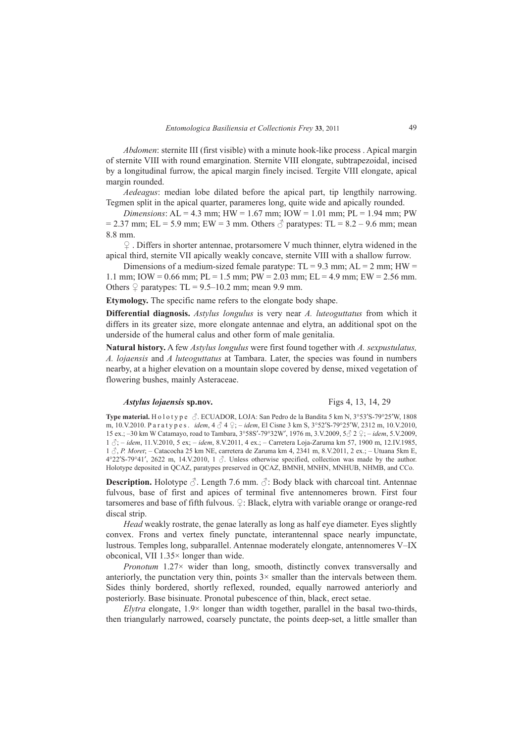*Abdomen*: sternite III (first visible) with a minute hook-like process . Apical margin of sternite VIII with round emargination. Sternite VIII elongate, subtrapezoidal, incised by a longitudinal furrow, the apical margin finely incised. Tergite VIII elongate, apical margin rounded.

*Aedeagus*: median lobe dilated before the apical part, tip lengthily narrowing. Tegmen split in the apical quarter, parameres long, quite wide and apically rounded.

*Dimensions*: AL = 4.3 mm; HW = 1.67 mm; IOW = 1.01 mm; PL = 1.94 mm; PW  $= 2.37$  mm; EL = 5.9 mm; EW = 3 mm. Others  $\delta$  paratypes: TL = 8.2 – 9.6 mm; mean 8.8 mm.

♀ . Differs in shorter antennae, protarsomere V much thinner, elytra widened in the apical third, sternite VII apically weakly concave, sternite VIII with a shallow furrow.

Dimensions of a medium-sized female paratype:  $TL = 9.3$  mm;  $AL = 2$  mm;  $HW =$ 1.1 mm; IOW = 0.66 mm; PL = 1.5 mm; PW = 2.03 mm; EL = 4.9 mm; EW = 2.56 mm. Others  $\Omega$  paratypes: TL = 9.5–10.2 mm; mean 9.9 mm.

**Etymology.** The specific name refers to the elongate body shape.

**Differential diagnosis.** *Astylus longulus* is very near *A. luteoguttatus* from which it differs in its greater size, more elongate antennae and elytra, an additional spot on the underside of the humeral calus and other form of male genitalia.

**Natural history.** A few *Astylus longulus* were first found together with *A. sexpustulatus, A. lojaensis* and *A luteoguttatus* at Tambara. Later, the species was found in numbers nearby, at a higher elevation on a mountain slope covered by dense, mixed vegetation of flowering bushes, mainly Asteraceae.

## *Astylus lojaensis* **sp.nov.** Figs 4, 13, 14, 29

**Type material.** Holotype ♂. ECUADOR, LOJA: San Pedro de la Bandita 5 km N, 3°53′S-79°25′W, 1808 m, 10.V.2010. Paratypes. *idem*, 4 ♂ 4 ♀; – *idem*, El Cisne 3 km S, 3°52′S-79°25′W, 2312 m, 10.V.2010, 15 ex.; –30 km W Catamayo, road to Tambara, 3°58S′-79°32W′, 1976 m, 3.V.2009, 5♂ 2 ♀; – *idem*, 5.V.2009, 1 ♂; – *idem*, 11.V.2010, 5 ex; – *idem*, 8.V.2011, 4 ex.; – Carretera Loja-Zaruma km 57, 1900 m, 12.IV.1985, 1 ♂, *P. Moret*; – Catacocha 25 km NE, carretera de Zaruma km 4, 2341 m, 8.V.2011, 2 ex.; – Utuana 5km E,  $4^{\circ}22'S-79^{\circ}41'$ , 2622 m, 14.V.2010, 1  $\circ$ . Unless otherwise specified, collection was made by the author. Holotype deposited in QCAZ, paratypes preserved in QCAZ, BMNH, MNHN, MNHUB, NHMB, and CCo.

**Description.** Holotype  $\Diamond$ . Length 7.6 mm.  $\Diamond$ : Body black with charcoal tint. Antennae fulvous, base of first and apices of terminal five antennomeres brown. First four tarsomeres and base of fifth fulvous.  $\mathcal{L}$ : Black, elytra with variable orange or orange-red discal strip.

*Head* weakly rostrate, the genae laterally as long as half eye diameter. Eyes slightly convex. Frons and vertex finely punctate, interantennal space nearly impunctate, lustrous. Temples long, subparallel. Antennae moderately elongate, antennomeres V–IX obconical, VII 1.35× longer than wide.

*Pronotum* 1.27× wider than long, smooth, distinctly convex transversally and anteriorly, the punctation very thin, points  $3 \times$  smaller than the intervals between them. Sides thinly bordered, shortly reflexed, rounded, equally narrowed anteriorly and posteriorly. Base bisinuate. Pronotal pubescence of thin, black, erect setae.

*Elytra* elongate, 1.9× longer than width together, parallel in the basal two-thirds, then triangularly narrowed, coarsely punctate, the points deep-set, a little smaller than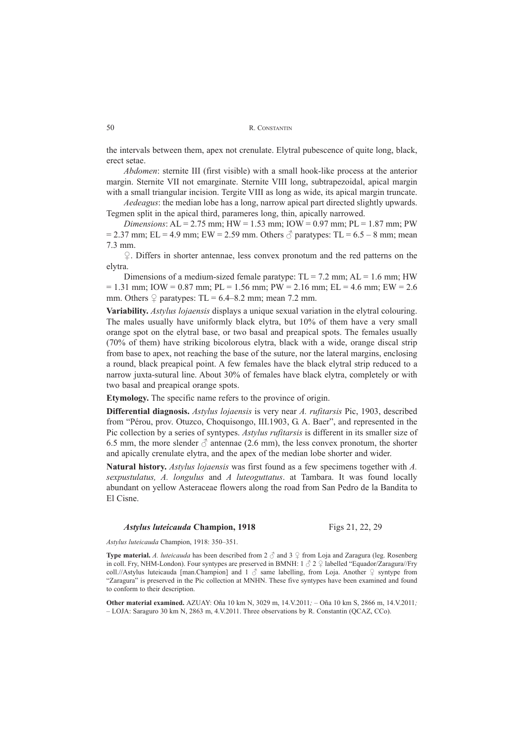the intervals between them, apex not crenulate. Elytral pubescence of quite long, black, erect setae.

*Abdomen*: sternite III (first visible) with a small hook-like process at the anterior margin. Sternite VII not emarginate. Sternite VIII long, subtrapezoidal, apical margin with a small triangular incision. Tergite VIII as long as wide, its apical margin truncate.

*Aedeagus*: the median lobe has a long, narrow apical part directed slightly upwards. Tegmen split in the apical third, parameres long, thin, apically narrowed.

*Dimensions*: AL = 2.75 mm; HW = 1.53 mm; IOW = 0.97 mm; PL = 1.87 mm; PW  $= 2.37$  mm; EL = 4.9 mm; EW = 2.59 mm. Others  $\sigma$  paratypes: TL = 6.5 – 8 mm; mean 7.3 mm.

♀. Differs in shorter antennae, less convex pronotum and the red patterns on the elytra.

Dimensions of a medium-sized female paratype:  $TL = 7.2$  mm;  $AL = 1.6$  mm; HW  $= 1.31$  mm; IOW = 0.87 mm; PL = 1.56 mm; PW = 2.16 mm; EL = 4.6 mm; EW = 2.6 mm. Others  $\varphi$  paratypes: TL = 6.4–8.2 mm; mean 7.2 mm.

**Variability.** *Astylus lojaensis* displays a unique sexual variation in the elytral colouring. The males usually have uniformly black elytra, but 10% of them have a very small orange spot on the elytral base, or two basal and preapical spots. The females usually (70% of them) have striking bicolorous elytra, black with a wide, orange discal strip from base to apex, not reaching the base of the suture, nor the lateral margins, enclosing a round, black preapical point. A few females have the black elytral strip reduced to a narrow juxta-sutural line. About 30% of females have black elytra, completely or with two basal and preapical orange spots.

**Etymology.** The specific name refers to the province of origin.

**Differential diagnosis.** *Astylus lojaensis* is very near *A. rufitarsis* Pic, 1903, described from "Pérou, prov. Otuzco, Choquisongo, III.1903, G. A. Baer", and represented in the Pic collection by a series of syntypes. *Astylus rufitarsis* is different in its smaller size of 6.5 mm, the more slender  $\delta$  antennae (2.6 mm), the less convex pronotum, the shorter and apically crenulate elytra, and the apex of the median lobe shorter and wider.

**Natural history.** *Astylus lojaensis* was first found as a few specimens together with *A. sexpustulatus, A. longulus* and *A luteoguttatus*. at Tambara. It was found locally abundant on yellow Asteraceae flowers along the road from San Pedro de la Bandita to El Cisne.

#### *Astylus luteicauda* Champion, 1918 Figs 21, 22, 29

*Astylus luteicauda* Champion, 1918: 350–351.

**Type material.** *A. luteicauda* has been described from 2 ♂ and 3 ♀ from Loja and Zaragura (leg. Rosenberg in coll. Fry, NHM-London). Four syntypes are preserved in BMNH:  $1 \circ 2 \circ 1$  abelled "Equador/Zaragura//Fry coll.//Astylus luteicauda [man.Champion] and 1  $\beta$  same labelling, from Loja. Another  $\varphi$  syntype from "Zaragura" is preserved in the Pic collection at MNHN. These five syntypes have been examined and found to conform to their description.

**Other material examined.** AZUAY: Oña 10 km N, 3029 m, 14.V.2011*;* – Oña 10 km S, 2866 m, 14.V.2011*; –* LOJA: Saraguro 30 km N, 2863 m, 4.V.2011. Three observations by R. Constantin (QCAZ, CCo).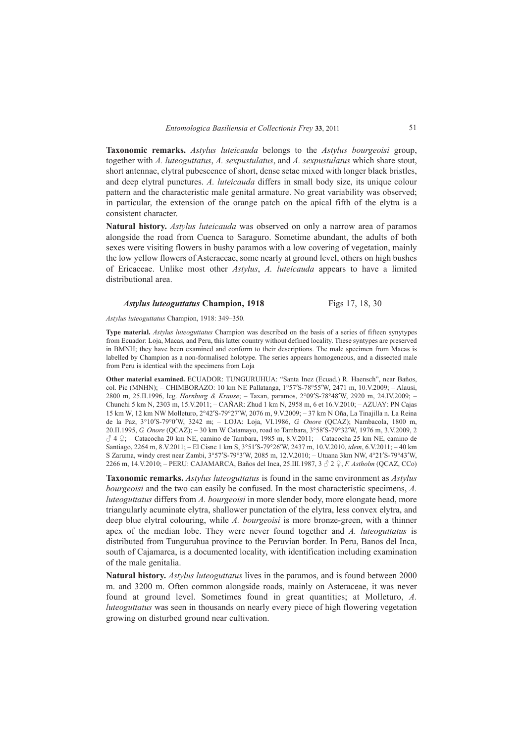**Taxonomic remarks.** *Astylus luteicauda* belongs to the *Astylus bourgeoisi* group, together with *A. luteoguttatus*, *A. sexpustulatus*, and *A. sexpustulatus* which share stout, short antennae, elytral pubescence of short, dense setae mixed with longer black bristles, and deep elytral punctures. *A. luteicauda* differs in small body size, its unique colour pattern and the characteristic male genital armature. No great variability was observed; in particular, the extension of the orange patch on the apical fifth of the elytra is a consistent character.

**Natural history.** *Astylus luteicauda* was observed on only a narrow area of paramos alongside the road from Cuenca to Saraguro. Sometime abundant, the adults of both sexes were visiting flowers in bushy paramos with a low covering of vegetation, mainly the low yellow flowers of Asteraceae, some nearly at ground level, others on high bushes of Ericaceae. Unlike most other *Astylus*, *A. luteicauda* appears to have a limited distributional area.

## *Astylus luteoguttatus* Champion, 1918 Figs 17, 18, 30

*Astylus luteoguttatus* Champion, 1918: 349–350.

**Type material.** *Astylus luteoguttatus* Champion was described on the basis of a series of fifteen synytypes from Ecuador: Loja, Macas, and Peru, this latter country without defined locality. These syntypes are preserved in BMNH; they have been examined and conform to their descriptions. The male specimen from Macas is labelled by Champion as a non-formalised holotype. The series appears homogeneous, and a dissected male from Peru is identical with the specimens from Loja

**Other material examined.** ECUADOR: TUNGURUHUA: "Santa Inez (Ecuad.) R. Haensch", near Baños, col. Pic (MNHN); – CHIMBORAZO: 10 km NE Pallatanga, 1°57′S-78°55′W, 2471 m, 10.V.2009; – Alausi, 2800 m, 25.II.1996, leg. *Hornburg & Krause*; – Taxan, paramos, 2°09′S-78°48′W, 2920 m, 24.IV.2009; – Chunchi 5 km N, 2303 m, 15.V.2011; – CAÑAR: Zhud 1 km N, 2958 m, 6 et 16.V.2010; – AZUAY: PN Cajas 15 km W, 12 km NW Molleturo, 2°42′S-79°27′W, 2076 m, 9.V.2009; – 37 km N Oña, La Tinajilla n. La Reina de la Paz, 3°10′S-79°0′W, 3242 m; – LOJA: Loja, VI.1986, *G. Onore* (QCAZ); Nambacola, 1800 m, 20.II.1995, *G. Onore* (QCAZ); – 30 km W Catamayo, road to Tambara, 3°58′S-79°32′W, 1976 m, 3.V.2009, 2  $\beta$  4 °; – Catacocha 20 km NE, camino de Tambara, 1985 m, 8.V.2011; – Catacocha 25 km NE, camino de Santiago, 2264 m, 8.V.2011; – El Cisne 1 km S, 3°51′S-79°26′W, 2437 m, 10.V.2010, *idem*, 6.V.2011; – 40 km S Zaruma, windy crest near Zambi, 3°57′S-79°3′W, 2085 m, 12.V.2010; – Utuana 3km NW, 4°21′S-79°43′W, 2266 m, 14.V.2010; – PERU: CAJAMARCA, Baños del Inca, 25.III.1987, 3 ♂ 2 ♀, *F. Astholm* (QCAZ, CCo)

**Taxonomic remarks.** *Astylus luteoguttatus* is found in the same environment as *Astylus bourgeoisi* and the two can easily be confused. In the most characteristic specimens, *A. luteoguttatus* differs from *A. bourgeoisi* in more slender body, more elongate head, more triangularly acuminate elytra, shallower punctation of the elytra, less convex elytra, and deep blue elytral colouring, while *A. bourgeoisi* is more bronze-green, with a thinner apex of the median lobe. They were never found together and *A. luteoguttatus* is distributed from Tunguruhua province to the Peruvian border. In Peru, Banos del Inca, south of Cajamarca, is a documented locality, with identification including examination of the male genitalia.

**Natural history.** *Astylus luteoguttatus* lives in the paramos, and is found between 2000 m. and 3200 m. Often common alongside roads, mainly on Asteraceae, it was never found at ground level. Sometimes found in great quantities; at Molleturo, *A. luteoguttatus* was seen in thousands on nearly every piece of high flowering vegetation growing on disturbed ground near cultivation.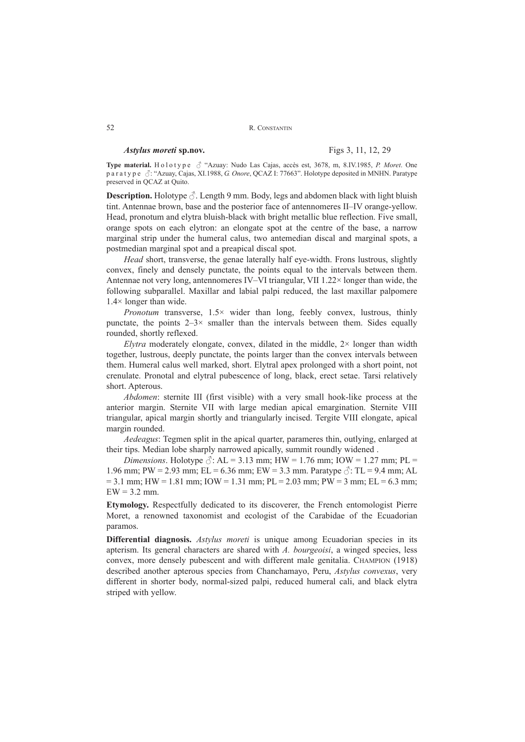```
R. CONSTANTIN
```
## *Astylus moreti* **sp.nov.** Figs 3, 11, 12, 29

**Type material.** Holotype ♂ "Azuay: Nudo Las Cajas, accès est, 3678, m, 8.IV.1985, *P. Moret*. One paratype ♂: "Azuay, Cajas, XI.1988, *G. Onore*, QCAZ I: 77663". Holotype deposited in MNHN. Paratype preserved in QCAZ at Quito.

**Description.** Holotype  $\Diamond$ . Length 9 mm. Body, legs and abdomen black with light bluish tint. Antennae brown, base and the posterior face of antennomeres II–IV orange-yellow. Head, pronotum and elytra bluish-black with bright metallic blue reflection. Five small, orange spots on each elytron: an elongate spot at the centre of the base, a narrow marginal strip under the humeral calus, two antemedian discal and marginal spots, a postmedian marginal spot and a preapical discal spot.

*Head* short, transverse, the genae laterally half eye-width. Frons lustrous, slightly convex, finely and densely punctate, the points equal to the intervals between them. Antennae not very long, antennomeres IV–VI triangular, VII 1.22× longer than wide, the following subparallel. Maxillar and labial palpi reduced, the last maxillar palpomere 1.4× longer than wide.

*Pronotum* transverse,  $1.5 \times$  wider than long, feebly convex, lustrous, thinly punctate, the points  $2-3\times$  smaller than the intervals between them. Sides equally rounded, shortly reflexed.

*Elytra* moderately elongate, convex, dilated in the middle,  $2 \times$  longer than width together, lustrous, deeply punctate, the points larger than the convex intervals between them. Humeral calus well marked, short. Elytral apex prolonged with a short point, not crenulate. Pronotal and elytral pubescence of long, black, erect setae. Tarsi relatively short. Apterous.

*Abdomen*: sternite III (first visible) with a very small hook-like process at the anterior margin. Sternite VII with large median apical emargination. Sternite VIII triangular, apical margin shortly and triangularly incised. Tergite VIII elongate, apical margin rounded.

*Aedeagus*: Tegmen split in the apical quarter, parameres thin, outlying, enlarged at their tips. Median lobe sharply narrowed apically, summit roundly widened .

*Dimensions*. Holotype  $\Diamond$ : AL = 3.13 mm; HW = 1.76 mm; IOW = 1.27 mm; PL = 1.96 mm; PW = 2.93 mm; EL = 6.36 mm; EW = 3.3 mm. Paratype  $\Diamond$ : TL = 9.4 mm; AL  $= 3.1$  mm; HW  $= 1.81$  mm; IOW  $= 1.31$  mm; PL  $= 2.03$  mm; PW  $= 3$  mm; EL  $= 6.3$  mm;  $EW = 3.2$  mm.

**Etymology.** Respectfully dedicated to its discoverer, the French entomologist Pierre Moret, a renowned taxonomist and ecologist of the Carabidae of the Ecuadorian paramos.

**Differential diagnosis.** *Astylus moreti* is unique among Ecuadorian species in its apterism. Its general characters are shared with *A. bourgeoisi*, a winged species, less convex, more densely pubescent and with different male genitalia. CHAMPION (1918) described another apterous species from Chanchamayo, Peru, *Astylus convexus*, very different in shorter body, normal-sized palpi, reduced humeral cali, and black elytra striped with yellow.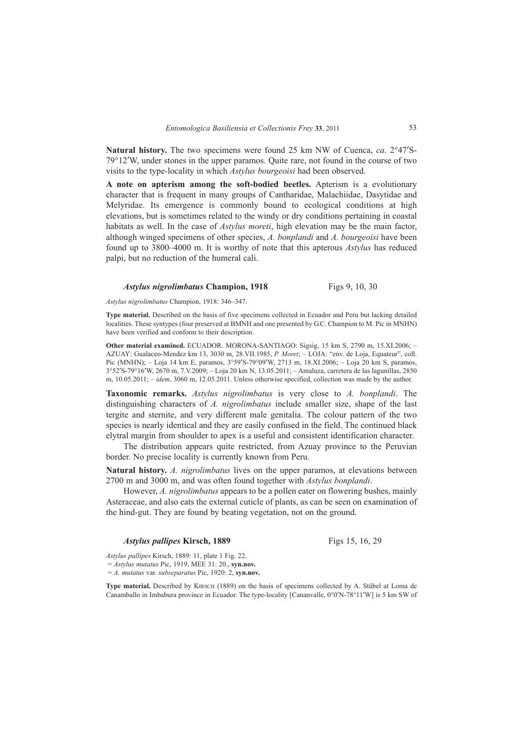**Natural history.** The two specimens were found 25 km NW of Cuenca, *ca*. 2°47′S-79°12′W, under stones in the upper paramos. Quite rare, not found in the course of two visits to the type-locality in which *Astylus bourgeoisi* had been observed.

**A note on apterism among the soft-bodied beetles.** Apterism is a evolutionary character that is frequent in many groups of Cantharidae, Malachiidae, Dasytidae and Melyridae. Its emergence is commonly bound to ecological conditions at high elevations, but is sometimes related to the windy or dry conditions pertaining in coastal habitats as well. In the case of *Astylus moreti*, high elevation may be the main factor, although winged specimens of other species, *A. bonplandi* and *A. bourgeoisi* have been found up to 3800–4000 m. It is worthy of note that this apterous *Astylus* has reduced palpi, but no reduction of the humeral cali.

## *Astylus nigrolimbatus* Champion, 1918 Figs 9, 10, 30

*Astylus nigrolimbatus* Champion, 1918: 346–347.

**Type material.** Described on the basis of five specimens collected in Ecuador and Peru but lacking detailed localities. These syntypes (four preserved at BMNH and one presented by G.C. Champion to M. Pic in MNHN) have been verified and conform to their description.

**Other material examined.** ECUADOR. MORONA-SANTIAGO: Sigsig, 15 km S, 2790 m, 15.XI.2006; – AZUAY: Gualaceo-Mendez km 13, 3030 m, 28.VII.1985, *P. Moret*; – LOJA: "env. de Loja, Equateur", coll. Pic (MNHN); – Loja 14 km E, paramos, 3°59′S-79°09′W, 2713 m, 18.XI.2006; – Loja 20 km S, paramos, 3°52′S-79°16′W, 2670 m, 7.V.2009; – Loja 20 km N, 13.05.2011; – Amaluza, carretera de las lagunillas, 2850 m, 10.05.2011; – *idem*, 3060 m, 12.05.2011. Unless otherwise specified, collection was made by the author.

**Taxonomic remarks.** *Astylus nigrolimbatus* is very close to *A. bonplandi*. The distinguishing characters of *A. nigrolimbatus* include smaller size, shape of the last tergite and sternite, and very different male genitalia. The colour pattern of the two species is nearly identical and they are easily confused in the field. The continued black elytral margin from shoulder to apex is a useful and consistent identification character.

The distribution appears quite restricted, from Azuay province to the Peruvian border. No precise locality is currently known from Peru.

**Natural history.** *A. nigrolimbatus* lives on the upper paramos, at elevations between 2700 m and 3000 m, and was often found together with *Astylus bonplandi*.

However, *A. nigrolimbatus* appears to be a pollen eater on flowering bushes, mainly Asteraceae, and also eats the external cuticle of plants, as can be seen on examination of the hind-gut. They are found by beating vegetation, not on the ground.

## *Astylus pallipes* Kirsch, 1889 Figs 15, 16, 29

*Astylus pallipes* Kirsch, 1889: 11, plate 1 Fig. 22.

= *Astylus mutatus* Pic, 1919, MEE 31: 20., **syn.nov.**

= *A. mutatus* var. *subseparatus* Pic, 1920: 2, **syn.nov.**

**Type material.** Described by KIRSCH (1889) on the basis of specimens collected by A. Stübel at Loma de Canamballo in Imbabura province in Ecuador. The type-locality [Cananvalle, 0°0′N-78°11′W] is 5 km SW of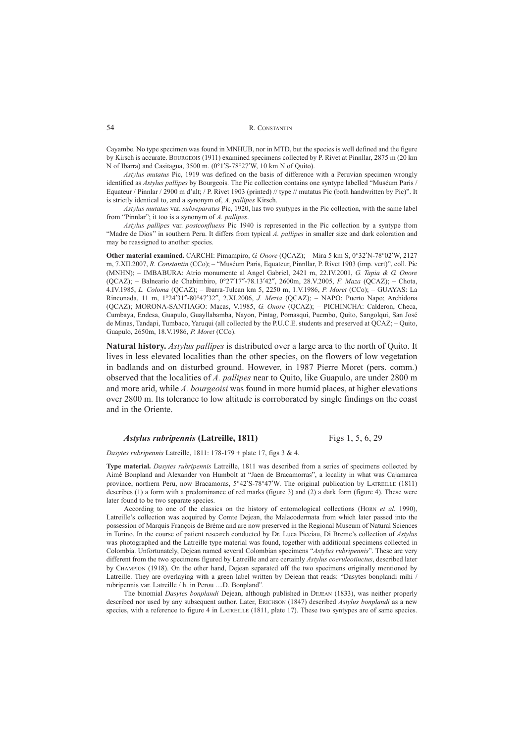Cayambe. No type specimen was found in MNHUB, nor in MTD, but the species is well defined and the figure by Kirsch is accurate. BOURGEOIS (1911) examined specimens collected by P. Rivet at Pinnllar, 2875 m (20 km N of Ibarra) and Casitagua, 3500 m. (0°1′S-78°27′W, 10 km N of Quito).

*Astylus mutatus* Pic, 1919 was defined on the basis of difference with a Peruvian specimen wrongly identified as *Astylus pallipes* by Bourgeois. The Pic collection contains one syntype labelled "Muséum Paris / Equateur / Pinnlar / 2900 m d'alt; / P. Rivet 1903 (printed) // type // mutatus Pic (both handwritten by Pic)". It is strictly identical to, and a synonym of, *A. pallipes* Kirsch.

*Astylus mutatus* var. *subseparatus* Pic, 1920, has two syntypes in the Pic collection, with the same label from "Pinnlar"; it too is a synonym of *A. pallipes*.

*Astylus pallipes* var. *postconfluens* Pic 1940 is represented in the Pic collection by a syntype from "Madre de Dios'' in southern Peru. It differs from typical *A. pallipes* in smaller size and dark coloration and may be reassigned to another species.

**Other material examined.** CARCHI: Pimampiro, *G. Onore* (QCAZ); – Mira 5 km S, 0°32′N-78°02′W, 2127 m, 7.XII.2007, *R. Constantin* (CCo); – "Muséum Paris, Equateur, Pinnllar, P. Rivet 1903 (imp. vert)", coll. Pic (MNHN); – IMBABURA: Atrio monumente al Angel Gabriel, 2421 m, 22.IV.2001, *G. Tapia & G. Onore* (QCAZ); – Balneario de Chabimbiro, 0°27′17″-78.13′42″, 2600m, 28.V.2005, *F. Maza* (QCAZ); – Chota, 4.IV.1985, *L. Coloma* (QCAZ); – Ibarra-Tulcan km 5, 2250 m, 1.V.1986, *P. Moret* (CCo); – GUAYAS: La Rinconada, 11 m, 1°24′31″-80°47′32″, 2.XI.2006, *J. Mezia* (QCAZ); – NAPO: Puerto Napo; Archidona (QCAZ); MORONA-SANTIAGO: Macas, V.1985, *G. Onore* (QCAZ); – PICHINCHA: Calderon, Checa, Cumbaya, Endesa, Guapulo, Guayllabamba, Nayon, Pintag, Pomasqui, Puembo, Quito, Sangolqui, San José de Minas, Tandapi, Tumbaco, Yaruqui (all collected by the P.U.C.E. students and preserved at QCAZ; – Quito, Guapulo, 2650m, 18.V.1986, *P. Moret* (CCo).

**Natural history.** *Astylus pallipes* is distributed over a large area to the north of Quito. It lives in less elevated localities than the other species, on the flowers of low vegetation in badlands and on disturbed ground. However, in 1987 Pierre Moret (pers. comm.) observed that the localities of *A. pallipes* near to Quito, like Guapulo, are under 2800 m and more arid, while *A. bourgeoisi* was found in more humid places, at higher elevations over 2800 m. Its tolerance to low altitude is corroborated by single findings on the coast and in the Oriente.

## *Astylus rubripennis* **(Latreille, 1811)** Figs 1, 5, 6, 29

*Dasytes rubripennis* Latreille, 1811: 178-179 + plate 17, figs 3 & 4.

**Type material.** *Dasytes rubripennis* Latreille, 1811 was described from a series of specimens collected by Aimé Bonpland and Alexander von Humbolt at "Jaen de Bracamorras", a locality in what was Cajamarca province, northern Peru, now Bracamoras, 5°42′S-78°47′W. The original publication by LATREILLE (1811) describes (1) a form with a predominance of red marks (figure 3) and (2) a dark form (figure 4). These were later found to be two separate species.

According to one of the classics on the history of entomological collections (HORN *et al.* 1990), Latreille's collection was acquired by Comte Dejean, the Malacodermata from which later passed into the possession of Marquis François de Brème and are now preserved in the Regional Museum of Natural Sciences in Torino. In the course of patient research conducted by Dr. Luca Picciau, Di Breme's collection of *Astylus* was photographed and the Latreille type material was found, together with additional specimens collected in Colombia. Unfortunately, Dejean named several Colombian specimens "*Astylus rubripennis*". These are very different from the two specimens figured by Latreille and are certainly *Astylus coeruleotinctus*, described later by CHAMPION (1918). On the other hand, Dejean separated off the two specimens originally mentioned by Latreille. They are overlaying with a green label written by Dejean that reads: "Dasytes bonplandi mihi / rubripennis var. Latreille / h. in Perou ....D. Bonpland"*.*

The binomial *Dasytes bonplandi* Dejean, although published in DEJEAN (1833), was neither properly described nor used by any subsequent author. Later, ERICHSON (1847) described *Astylus bonplandi* as a new species, with a reference to figure 4 in LATREILLE (1811, plate 17). These two syntypes are of same species.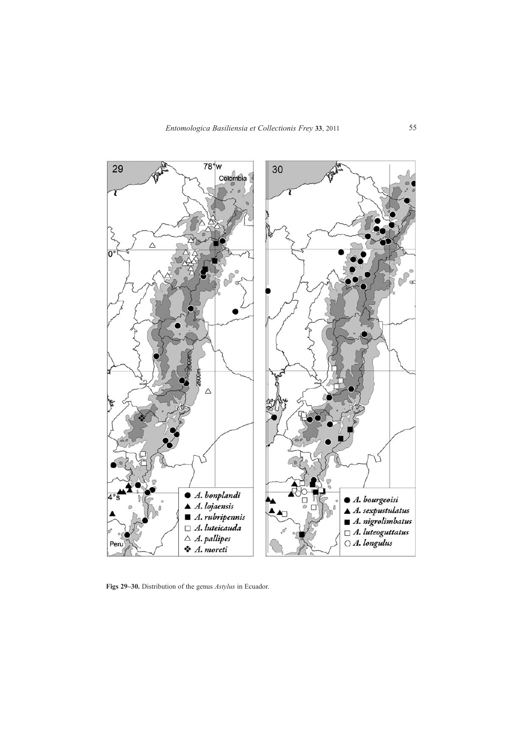

**Figs 29–30.** Distribution of the genus *Astylus* in Ecuador.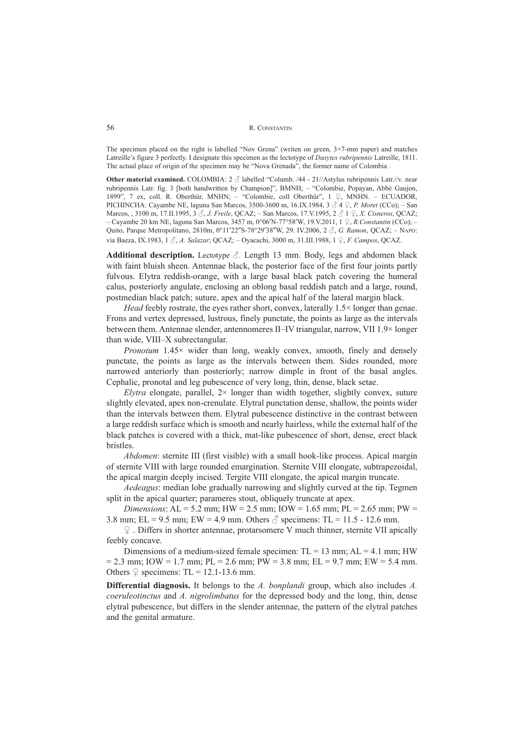The specimen placed on the right is labelled "Nov Grena" (writen on green, 3×7-mm paper) and matches Latreille's figure 3 perfectly. I designate this specimen as the lectotype of *Dasytes rubripennis* Latreille, 1811. The actual place of origin of the specimen may be "Nova Grenada", the former name of Colombia .

**Other material examined.** COLOMBIA: 2  $\delta$  labelled "Columb. /44 - 21//Astylus rubripennis Latr.//v. near rubripennis Latr. fig. 3 [both handwritten by Champion]", BMNH; – "Colombie, Popayan, Abbé Gaujon, 1899", 7 ex, coll. R. Oberthür, MNHN; – "Colombie, coll Oberthür", 1 ♀, MNHN. – ECUADOR, PICHINCHA: Cayambe NE, laguna San Marcos, 3500-3600 m, 16.IX.1984, 3 ♂ 4 ♀, *P. Moret* (CCo); – San Marcos, , 3100 m, 17.II.1995, 3 ♂, *J. Freile*, QCAZ; – San Marcos, 17.V.1995, 2 ♂ 1 ♀, *X. Cisneros*, QCAZ; – Cayambe 20 km NE, laguna San Marcos, 3457 m, 0°06′N-77°58′W, 19.V.2011, 1 ♀, *R.Constantin* (CCo); – Quito, Parque Metropolitano, 2810m, 0°11′22″S-78°29′38″W, 29. IV.2006, 2 ♂, *G. Ramon*, QCAZ; – NAPO: via Baeza, IX.1983, 1 ♂, *A. Salazar*; QCAZ; – Oyacachi, 3000 m, 31.III.1988, 1 ♀, *F. Campos*, QCAZ.

**Additional description.** Lectotype ♂. Length 13 mm. Body, legs and abdomen black with faint bluish sheen. Antennae black, the posterior face of the first four joints partly fulvous. Elytra reddish-orange, with a large basal black patch covering the humeral calus, posteriorly angulate, enclosing an oblong basal reddish patch and a large, round, postmedian black patch; suture, apex and the apical half of the lateral margin black.

*Head* feebly rostrate, the eyes rather short, convex, laterally 1.5× longer than genae. Frons and vertex depressed, lustrous, finely punctate, the points as large as the intervals between them. Antennae slender, antennomeres II–IV triangular, narrow, VII 1.9× longer than wide, VIII–X subrectangular.

*Pronotum* 1.45× wider than long, weakly convex, smooth, finely and densely punctate, the points as large as the intervals between them. Sides rounded, more narrowed anteriorly than posteriorly; narrow dimple in front of the basal angles. Cephalic, pronotal and leg pubescence of very long, thin, dense, black setae.

*Elytra* elongate, parallel,  $2 \times$  longer than width together, slightly convex, suture slightly elevated, apex non-crenulate. Elytral punctation dense, shallow, the points wider than the intervals between them. Elytral pubescence distinctive in the contrast between a large reddish surface which is smooth and nearly hairless, while the external half of the black patches is covered with a thick, mat-like pubescence of short, dense, erect black bristles.

*Abdomen*: sternite III (first visible) with a small hook-like process. Apical margin of sternite VIII with large rounded emargination. Sternite VIII elongate, subtrapezoidal, the apical margin deeply incised. Tergite VIII elongate, the apical margin truncate.

*Aedeagus*: median lobe gradually narrowing and slightly curved at the tip. Tegmen split in the apical quarter; parameres stout, obliquely truncate at apex.

*Dimensions*: AL = 5.2 mm; HW = 2.5 mm; IOW = 1.65 mm; PL = 2.65 mm; PW = 3.8 mm; EL = 9.5 mm; EW = 4.9 mm. Others  $\delta$  specimens: TL = 11.5 - 12.6 mm.

♀ . Differs in shorter antennae, protarsomere V much thinner, sternite VII apically feebly concave.

Dimensions of a medium-sized female specimen:  $TL = 13$  mm;  $AL = 4.1$  mm; HW  $= 2.3$  mm; IOW = 1.7 mm; PL = 2.6 mm; PW = 3.8 mm; EL = 9.7 mm; EW = 5.4 mm. Others  $\varphi$  specimens: TL = 12.1-13.6 mm.

**Differential diagnosis.** It belongs to the *A. bonplandi* group, which also includes *A. coeruleotinctus* and *A. nigrolimbatus* for the depressed body and the long, thin, dense elytral pubescence, but differs in the slender antennae, the pattern of the elytral patches and the genital armature.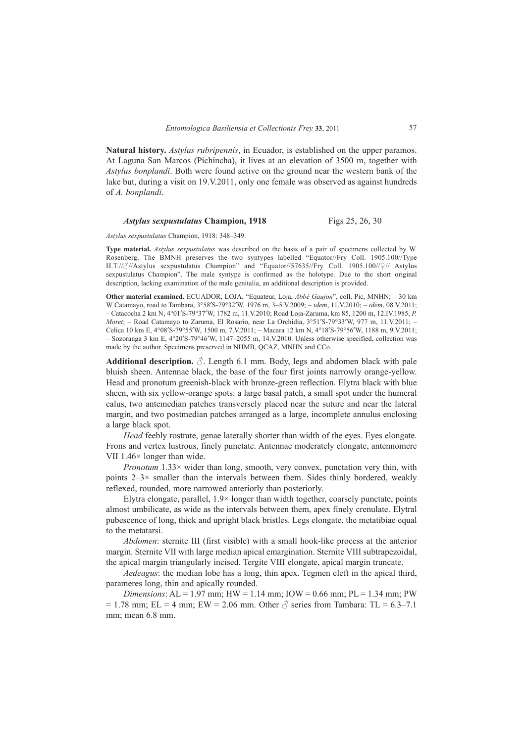**Natural history.** *Astylus rubripennis*, in Ecuador, is established on the upper paramos. At Laguna San Marcos (Pichincha), it lives at an elevation of 3500 m, together with *Astylus bonplandi*. Both were found active on the ground near the western bank of the lake but, during a visit on 19.V.2011, only one female was observed as against hundreds of *A. bonplandi*.

## *Astylus sexpustulatus Champion, 1918* Figs 25, 26, 30

*Astylus sexpustulatus* Champion, 1918: 348–349.

**Type material.** *Astylus sexpustulatus* was described on the basis of a pair of specimens collected by W. Rosenberg. The BMNH preserves the two syntypes labelled "Equator//Fry Coll. 1905.100//Type H.T.//♂//Astylus sexpustulatus Champion" and "Equator//57635//Fry Coll. 1905.100//♀// Astylus sexpustulatus Champion". The male syntype is confirmed as the holotype. Due to the short original description, lacking examination of the male genitalia, an additional description is provided.

**Other material examined.** ECUADOR, LOJA, "Equateur, Loja, *Abbé Gaujon*", coll. Pic, MNHN; – 30 km W Catamayo, road to Tambara, 3°58′S-79°32′W, 1976 m, 3–5.V.2009; – *idem*, 11.V.2010; – *idem*, 08.V.2011; – Catacocha 2 km N, 4°01′S-79°37′W, 1782 m, 11.V.2010; Road Loja-Zaruma, km 85, 1200 m, 12.IV.1985, *P. Moret*; – Road Catamayo to Zaruma, El Rosario, near La Orchidia, 3°51′S-79°33′W, 977 m, 11.V.2011; – Celica 10 km E, 4°08′S-79°55′W, 1500 m, 7.V.2011; – Macara 12 km N, 4°18′S-79°56′W, 1188 m, 9.V.2011; – Sozoranga 3 km E, 4°20′S-79°46′W, 1147–2055 m, 14.V.2010. Unless otherwise specified, collection was made by the author. Specimens preserved in NHMB, QCAZ, MNHN and CCo.

**Additional description.**  $\Diamond$ . Length 6.1 mm. Body, legs and abdomen black with pale bluish sheen. Antennae black, the base of the four first joints narrowly orange-yellow. Head and pronotum greenish-black with bronze-green reflection. Elytra black with blue sheen, with six yellow-orange spots: a large basal patch, a small spot under the humeral calus, two antemedian patches transversely placed near the suture and near the lateral margin, and two postmedian patches arranged as a large, incomplete annulus enclosing a large black spot.

*Head* feebly rostrate, genae laterally shorter than width of the eyes. Eyes elongate. Frons and vertex lustrous, finely punctate. Antennae moderately elongate, antennomere VII 1.46× longer than wide.

*Pronotum* 1.33× wider than long, smooth, very convex, punctation very thin, with points  $2-3\times$  smaller than the intervals between them. Sides thinly bordered, weakly reflexed, rounded, more narrowed anteriorly than posteriorly.

Elytra elongate, parallel,  $1.9 \times$  longer than width together, coarsely punctate, points almost umbilicate, as wide as the intervals between them, apex finely crenulate. Elytral pubescence of long, thick and upright black bristles. Legs elongate, the metatibiae equal to the metatarsi.

*Abdomen*: sternite III (first visible) with a small hook-like process at the anterior margin. Sternite VII with large median apical emargination. Sternite VIII subtrapezoidal, the apical margin triangularly incised. Tergite VIII elongate, apical margin truncate.

*Aedeagus*: the median lobe has a long, thin apex. Tegmen cleft in the apical third, parameres long, thin and apically rounded.

*Dimensions*: AL = 1.97 mm; HW = 1.14 mm; IOW = 0.66 mm; PL = 1.34 mm; PW  $= 1.78$  mm; EL = 4 mm; EW = 2.06 mm. Other  $\beta$  series from Tambara: TL = 6.3–7.1 mm; mean 6.8 mm.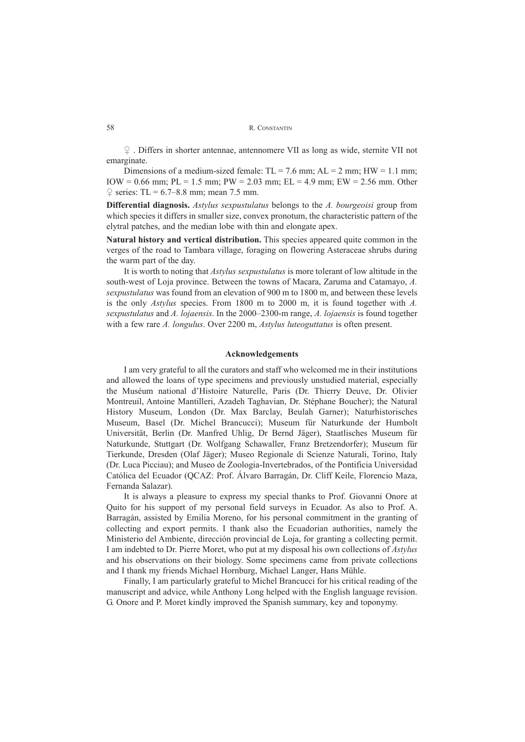♀ . Differs in shorter antennae, antennomere VII as long as wide, sternite VII not emarginate.

Dimensions of a medium-sized female:  $TL = 7.6$  mm;  $AL = 2$  mm;  $HW = 1.1$  mm; IOW = 0.66 mm; PL = 1.5 mm; PW = 2.03 mm; EL = 4.9 mm; EW = 2.56 mm. Other  $\degree$  series: TL = 6.7–8.8 mm; mean 7.5 mm.

**Differential diagnosis.** *Astylus sexpustulatus* belongs to the *A. bourgeoisi* group from which species it differs in smaller size, convex pronotum, the characteristic pattern of the elytral patches, and the median lobe with thin and elongate apex.

**Natural history and vertical distribution.** This species appeared quite common in the verges of the road to Tambara village, foraging on flowering Asteraceae shrubs during the warm part of the day.

It is worth to noting that *Astylus sexpustulatus* is more tolerant of low altitude in the south-west of Loja province. Between the towns of Macara, Zaruma and Catamayo, *A. sexpustulatus* was found from an elevation of 900 m to 1800 m, and between these levels is the only *Astylus* species. From 1800 m to 2000 m, it is found together with *A. sexpustulatus* and *A. lojaensis*. In the 2000–2300-m range, *A. lojaensis* is found together with a few rare *A. longulus*. Over 2200 m, *Astylus luteoguttatus* is often present.

## **Acknowledgements**

I am very grateful to all the curators and staff who welcomed me in their institutions and allowed the loans of type specimens and previously unstudied material, especially the Muséum national d'Histoire Naturelle, Paris (Dr. Thierry Deuve, Dr. Olivier Montreuil, Antoine Mantilleri, Azadeh Taghavian, Dr. Stéphane Boucher); the Natural History Museum, London (Dr. Max Barclay, Beulah Garner); Naturhistorisches Museum, Basel (Dr. Michel Brancucci); Museum für Naturkunde der Humbolt Universität, Berlin (Dr. Manfred Uhlig, Dr Bernd Jäger), Staatlisches Museum für Naturkunde, Stuttgart (Dr. Wolfgang Schawaller, Franz Bretzendorfer); Museum für Tierkunde, Dresden (Olaf Jäger); Museo Regionale di Scienze Naturali, Torino, Italy (Dr. Luca Picciau); and Museo de Zoologia-Invertebrados, of the Pontificia Universidad Católica del Ecuador (QCAZ: Prof. Álvaro Barragán, Dr. Cliff Keile, Florencio Maza, Fernanda Salazar).

It is always a pleasure to express my special thanks to Prof. Giovanni Onore at Quito for his support of my personal field surveys in Ecuador. As also to Prof. A. Barragán, assisted by Emilia Moreno, for his personal commitment in the granting of collecting and export permits. I thank also the Ecuadorian authorities, namely the Ministerio del Ambiente, dirección provincial de Loja, for granting a collecting permit. I am indebted to Dr. Pierre Moret, who put at my disposal his own collections of *Astylus* and his observations on their biology. Some specimens came from private collections and I thank my friends Michael Hornburg, Michael Langer, Hans Mühle.

Finally, I am particularly grateful to Michel Brancucci for his critical reading of the manuscript and advice, while Anthony Long helped with the English language revision. G. Onore and P. Moret kindly improved the Spanish summary, key and toponymy.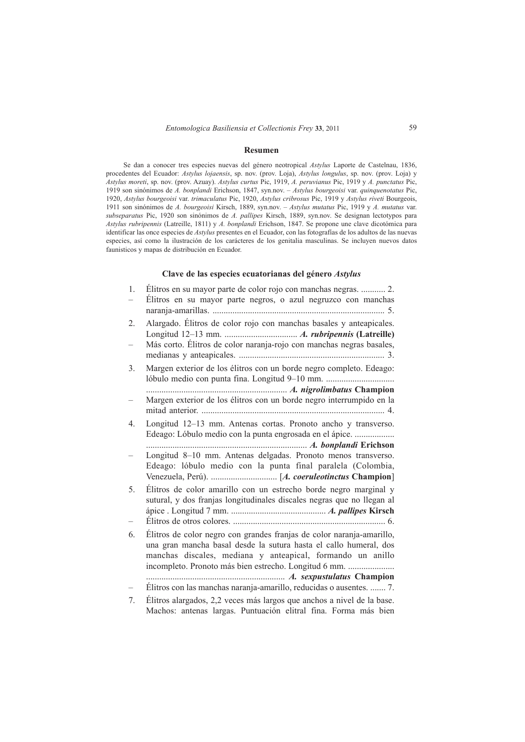#### **Resumen**

Se dan a conocer tres especies nuevas del género neotropical *Astylus* Laporte de Castelnau, 1836, procedentes del Ecuador: *Astylus lojaensis*, sp. nov. (prov. Loja), *Astylus longulus*, sp. nov. (prov. Loja) y *Astylus moreti*, sp. nov. (prov. Azuay). *Astylus curtus* Pic, 1919, *A. peruvianus* Pic, 1919 y *A. punctatus* Pic, 1919 son sinónimos de *A. bonplandi* Erichson, 1847, syn.nov. – *Astylus bourgeoisi* var. *quinquenotatus* Pic, 1920, *Astylus bourgeoisi* var. *trimaculatus* Pic, 1920, *Astylus cribrosus* Pic, 1919 y *Astylus riveti* Bourgeois, 1911 son sinónimos de *A. bourgeoisi* Kirsch, 1889, syn.nov. – *Astylus mutatus* Pic, 1919 y *A. mutatus* var. *subseparatus* Pic, 1920 son sinónimos de *A. pallipes* Kirsch, 1889, syn.nov. Se designan lectotypos para *Astylus rubripennis* (Latreille, 1811) y *A. bonplandi* Erichson, 1847. Se propone une clave dicotómica para identificar las once especies de *Astylus* presentes en el Ecuador, con las fotografías de los adultos de las nuevas especies, así como la ilustración de los carácteres de los genitalia masculinas. Se incluyen nuevos datos faunisticos y mapas de distribución en Ecuador.

## **Clave de las especies ecuatorianas del género** *Astylus*

| 1. | Élitros en su mayor parte negros, o azul negruzco con manchas                                                                                                                                                                                                     |
|----|-------------------------------------------------------------------------------------------------------------------------------------------------------------------------------------------------------------------------------------------------------------------|
| 2. | Alargado. Élitros de color rojo con manchas basales y anteapicales.                                                                                                                                                                                               |
|    | Más corto. Élitros de color naranja-rojo con manchas negras basales,                                                                                                                                                                                              |
| 3. | Margen exterior de los élitros con un borde negro completo. Edeago:                                                                                                                                                                                               |
|    | Margen exterior de los élitros con un borde negro interrumpido en la                                                                                                                                                                                              |
| 4. | Longitud 12-13 mm. Antenas cortas. Pronoto ancho y transverso.<br>Edeago: Lóbulo medio con la punta engrosada en el ápice.                                                                                                                                        |
|    | Longitud 8-10 mm. Antenas delgadas. Pronoto menos transverso.<br>Edeago: lóbulo medio con la punta final paralela (Colombia,                                                                                                                                      |
| 5. | Élitros de color amarillo con un estrecho borde negro marginal y<br>sutural, y dos franjas longitudinales discales negras que no llegan al                                                                                                                        |
| 6. | Élitros de color negro con grandes franjas de color naranja-amarillo,<br>una gran mancha basal desde la sutura hasta el callo humeral, dos<br>manchas discales, mediana y anteapical, formando un anillo<br>incompleto. Pronoto más bien estrecho. Longitud 6 mm. |
|    | Élitros con las manchas naranja-amarillo, reducidas o ausentes.  7.                                                                                                                                                                                               |
|    | Élitoso slaves des . 0.0 cosese más levese que sus heres e nivel de la base .                                                                                                                                                                                     |

7. Élitros alargados, 2,2 veces más largos que anchos a nivel de la base. Machos: antenas largas. Puntuación elitral fina. Forma más bien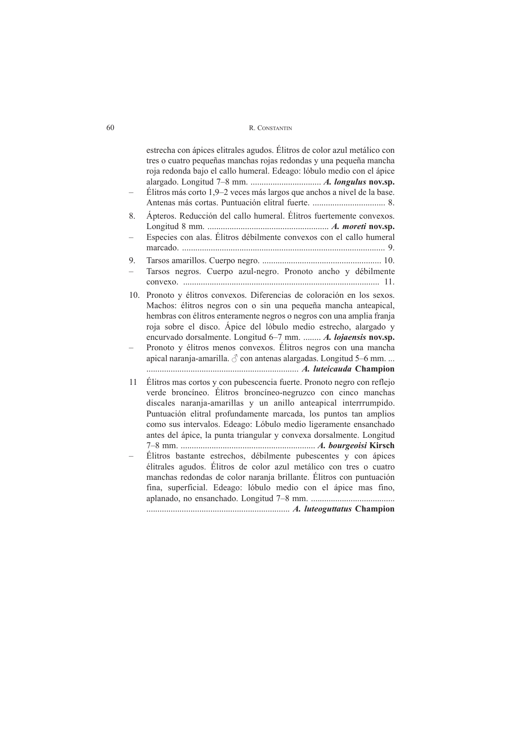|     | estrecha con ápices elitrales agudos. Élitros de color azul metálico con<br>tres o cuatro pequeñas manchas rojas redondas y una pequeña mancha<br>roja redonda bajo el callo humeral. Edeago: lóbulo medio con el ápice<br>Élitros más corto 1,9-2 veces más largos que anchos a nivel de la base.                                                                                                                                                                                                   |
|-----|------------------------------------------------------------------------------------------------------------------------------------------------------------------------------------------------------------------------------------------------------------------------------------------------------------------------------------------------------------------------------------------------------------------------------------------------------------------------------------------------------|
|     |                                                                                                                                                                                                                                                                                                                                                                                                                                                                                                      |
| 8.  | Apteros. Reducción del callo humeral. Élitros fuertemente convexos.                                                                                                                                                                                                                                                                                                                                                                                                                                  |
|     | Especies con alas. Élitros débilmente convexos con el callo humeral                                                                                                                                                                                                                                                                                                                                                                                                                                  |
| 9.  | Tarsos negros. Cuerpo azul-negro. Pronoto ancho y débilmente                                                                                                                                                                                                                                                                                                                                                                                                                                         |
| 10. | Pronoto y élitros convexos. Diferencias de coloración en los sexos.<br>Machos: élitros negros con o sin una pequeña mancha anteapical,<br>hembras con élitros enteramente negros o negros con una amplia franja<br>roja sobre el disco. Ápice del lóbulo medio estrecho, alargado y<br>encurvado dorsalmente. Longitud 6-7 mm.  A. lojaensis nov.sp.<br>Pronoto y élitros menos convexos. Élitros negros con una mancha<br>apical naranja-amarilla. $\delta$ con antenas alargadas. Longitud 5–6 mm. |
|     | Marian Marian A. <i>luteicauda</i> Champion                                                                                                                                                                                                                                                                                                                                                                                                                                                          |
| 11  | Élitros mas cortos y con pubescencia fuerte. Pronoto negro con reflejo<br>verde broncíneo. Élitros broncíneo-negruzco con cinco manchas<br>discales naranja-amarillas y un anillo anteapical interrrumpido.<br>Puntuación elitral profundamente marcada, los puntos tan amplios<br>como sus intervalos. Edeago: Lóbulo medio ligeramente ensanchado<br>antes del ápice, la punta triangular y convexa dorsalmente. Longitud                                                                          |
|     | Élitros bastante estrechos, débilmente pubescentes y con ápices                                                                                                                                                                                                                                                                                                                                                                                                                                      |
|     | élitrales agudos. Élitros de color azul metálico con tres o cuatro                                                                                                                                                                                                                                                                                                                                                                                                                                   |
|     | manchas redondas de color naranja brillante. Élitros con puntuación<br>fina, superficial. Edeago: lóbulo medio con el ápice mas fino,                                                                                                                                                                                                                                                                                                                                                                |
|     |                                                                                                                                                                                                                                                                                                                                                                                                                                                                                                      |
|     |                                                                                                                                                                                                                                                                                                                                                                                                                                                                                                      |